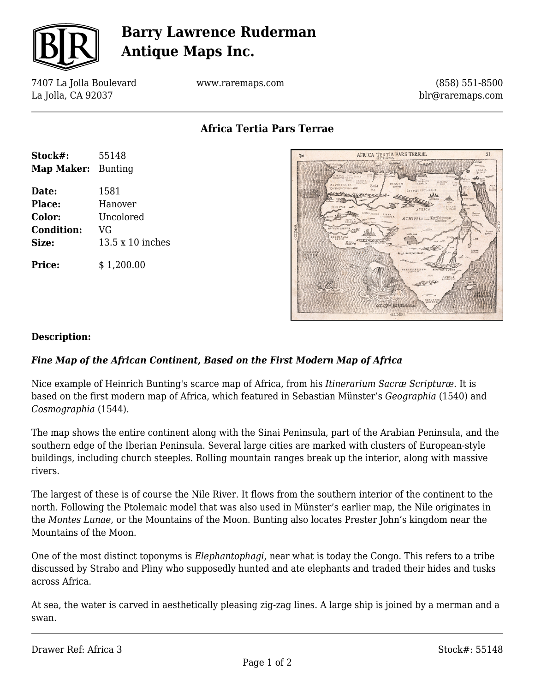

## **Barry Lawrence Ruderman Antique Maps Inc.**

7407 La Jolla Boulevard La Jolla, CA 92037

**Stock#:** 55148 **Map Maker:** Bunting

**Date:** 1581 **Place:** Hanover **Color:** Uncolored

**Condition:** VG

**Size:** 13.5 x 10 inches

**Price:**  $$ 1,200.00$ 

www.raremaps.com

(858) 551-8500 blr@raremaps.com

**Africa Tertia Pars Terrae**



## **Description:**

## *Fine Map of the African Continent, Based on the First Modern Map of Africa*

Nice example of Heinrich Bunting's scarce map of Africa, from his *Itinerarium Sacræ Scripturæ*. It is based on the first modern map of Africa, which featured in Sebastian Münster's *Geographia* (1540) and *Cosmographia* (1544).

The map shows the entire continent along with the Sinai Peninsula, part of the Arabian Peninsula, and the southern edge of the Iberian Peninsula. Several large cities are marked with clusters of European-style buildings, including church steeples. Rolling mountain ranges break up the interior, along with massive rivers.

The largest of these is of course the Nile River. It flows from the southern interior of the continent to the north. Following the Ptolemaic model that was also used in Münster's earlier map, the Nile originates in the *Montes Lunae*, or the Mountains of the Moon. Bunting also locates Prester John's kingdom near the Mountains of the Moon.

One of the most distinct toponyms is *Elephantophagi,* near what is today the Congo. This refers to a tribe discussed by Strabo and Pliny who supposedly hunted and ate elephants and traded their hides and tusks across Africa.

At sea, the water is carved in aesthetically pleasing zig-zag lines. A large ship is joined by a merman and a swan.